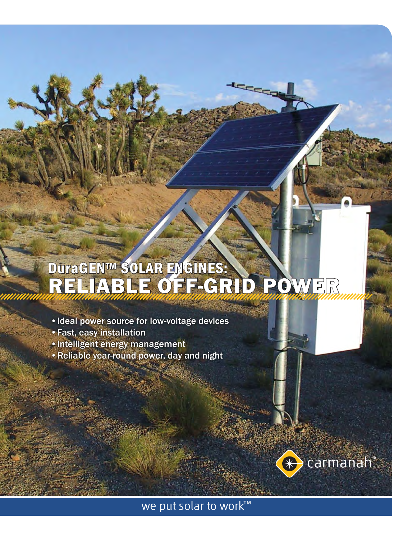# DuraGEN™ SOLAR ENGINES: RELIABLE OFF-GRID POWER

تحص

- Ideal power source for low-voltage devices
- Fast, easy installation •
- Intelligent energy management
- Reliable year-round power, day and night



we put solar to work™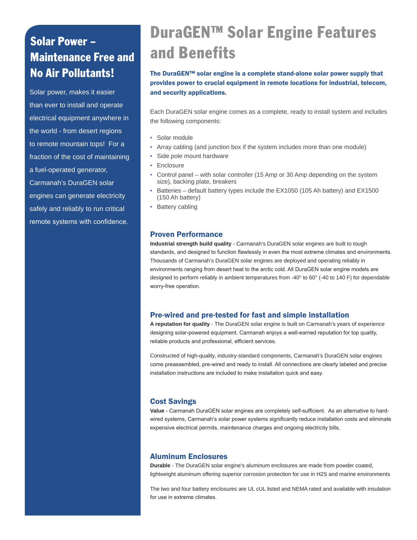# Solar Power – Maintenance Free and

Solar power, makes it easier than ever to install and operate electrical equipment anywhere in the world - from desert regions to remote mountain tops! For a fraction of the cost of maintaining a fuel-operated generator, Carmanah's DuraGEN solar engines can generate electricity safely and reliably to run critical remote systems with confidence.

# DuraGEN™ Solar Engine Features and Benefits

No Air Pollutants! The DuraGEN™ solar engine is a complete stand-alone solar power supply that provides power to crucial equipment in remote locations for industrial, telecom, and security applications.

> Each DuraGEN solar engine comes as a complete, ready to install system and includes the following components:

- Solar module
- Array cabling (and junction box if the system includes more than one module)
- Side pole mount hardware
- Enclosure
- Control panel with solar controller (15 Amp or 30 Amp depending on the system size), backing plate, breakers •
- Batteries default battery types include the EX1050 (105 Ah battery) and EX1500 (150 Ah battery)
- Battery cabling

## Proven Performance

**Industrial strength build quality** - Carmanah's DuraGEN solar engines are built to tough standards, and designed to function flawlessly in even the most extreme climates and environments. Thousands of Carmanah's DuraGEN solar engines are deployed and operating reliably in environments ranging from desert heat to the arctic cold. All DuraGEN solar engine models are designed to perform reliably in ambient temperatures from -40° to 60° (-40 to 140 F) for dependable worry-free operation.

## Pre-wired and pre-tested for fast and simple installation

**A reputation for quality** - The DuraGEN solar engine is built on Carmanah's years of experience designing solar-powered equipment. Carmanah enjoys a well-earned reputation for top quality, reliable products and professional, efficient services.

Constructed of high-quality, industry-standard components, Carmanah's DuraGEN solar engines come preassembled, pre-wired and ready to install. All connections are clearly labeled and precise installation instructions are included to make installation quick and easy.

# Cost Savings

**Value** - Carmanah DuraGEN solar engines are completely self-sufficient. As an alternative to hardwired systems, Carmanah's solar power systems significantly reduce installation costs and eliminate expensive electrical permits, maintenance charges and ongoing electricity bills.

## Aluminum Enclosures

**Durable** - The DuraGEN solar engine's aluminum enclosures are made from powder coated, lightweight aluminum offering superior corrosion protection for use in H2S and marine environments

The two and four battery enclosures are UL cUL listed and NEMA rated and available with insulation for use in extreme climates.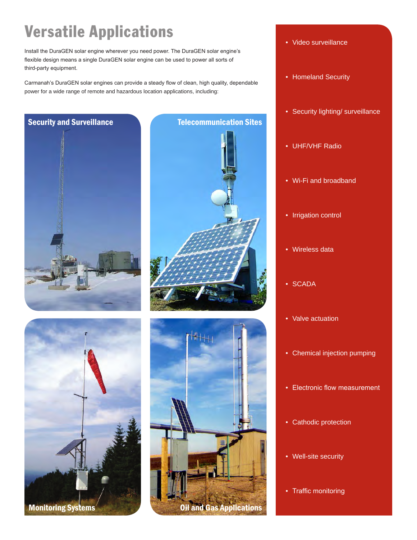# Versatile Applications

Install the DuraGEN solar engine wherever you need power. The DuraGEN solar engine's flexible design means a single DuraGEN solar engine can be used to power all sorts of third-party equipment.

Carmanah's DuraGEN solar engines can provide a steady flow of clean, high quality, dependable power for a wide range of remote and hazardous location applications, including:







- Video surveillance
- Homeland Security
- Security lighting/ surveillance
- UHF/VHF Radio •
- Wi-Fi and broadband
- Irrigation control
- Wireless data •
- SCADA
- Valve actuation
- Chemical injection pumping
- Electronic flow measurement
- Cathodic protection
- Well-site security •
- Traffic monitoring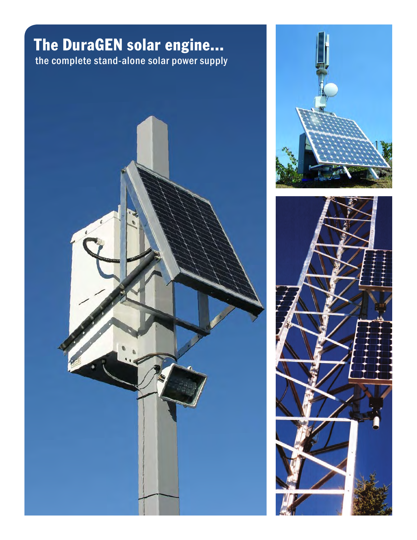# The DuraGEN solar engine... the complete stand-alone solar power supply





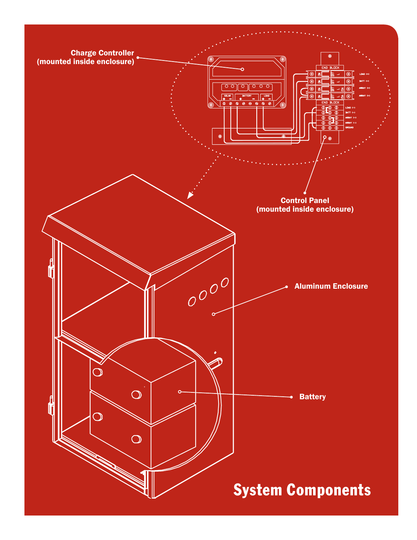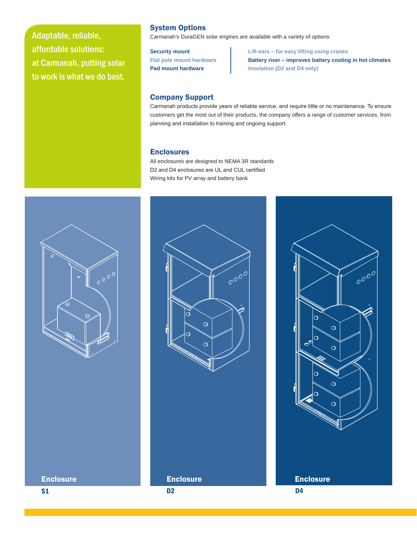Adaptable, reliable, affordable solutions: at Carmanah, putting solar to work is what we do best.

## System Options

Carmanah's DuraGEN solar engines are available with a variety of options:

**Security mount Lift-ears – for easy lifting using cranes Flat pole mount hardware Battery riser – improves battery cooling in hot climates Pad mount hardware**  Insulation (D2 and D4 only)

### Company Support

Carmanah products provide years of reliable service, and require little or no maintenance. To ensure customers get the most out of their products, the company offers a range of customer services, from planning and installation to training and ongoing support.

### Enclosures

All enclosures are designed to NEMA 3R standards D2 and D4 enclosures are UL and CUL certified Wiring kits for PV array and battery bank





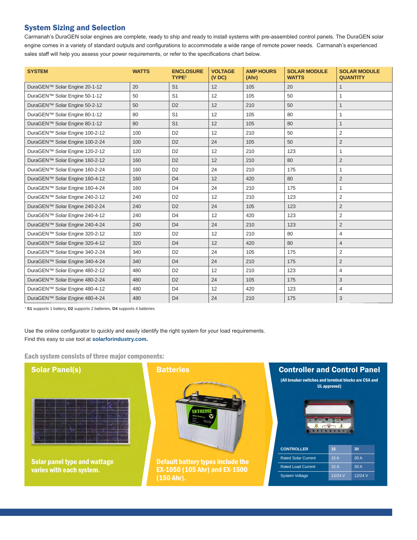## System Sizing and Selection

Carmanah's DuraGEN solar engines are complete, ready to ship and ready to install systems with pre-assembled control panels. The DuraGEN solar engine comes in a variety of standard outputs and configurations to accommodate a wide range of remote power needs. Carmanah's experienced sales staff will help you assess your power requirements, or refer to the specifications chart below.

| <b>SYSTEM</b>                  | <b>WATTS</b> | <b>ENCLOSURE</b><br><b>TYPE<sup>1</sup></b> | <b>VOLTAGE</b><br>(VDC) | <b>AMP HOURS</b><br>(Ahr) | <b>SOLAR MODULE</b><br><b>WATTS</b> | <b>SOLAR MODULE</b><br><b>QUANTITY</b> |
|--------------------------------|--------------|---------------------------------------------|-------------------------|---------------------------|-------------------------------------|----------------------------------------|
| DuraGEN™ Solar Engine 20-1-12  | 20           | S <sub>1</sub>                              | 12                      | 105                       | 20                                  | $\mathbf{1}$                           |
| DuraGEN™ Solar Engine 50-1-12  | 50           | S <sub>1</sub>                              | 12                      | 105                       | 50                                  | 1                                      |
| DuraGEN™ Solar Engine 50-2-12  | 50           | D <sub>2</sub>                              | 12                      | 210                       | 50                                  | $\mathbf{1}$                           |
| DuraGEN™ Solar Engine 80-1-12  | 80           | S <sub>1</sub>                              | 12                      | 105                       | 80                                  | 1                                      |
| DuraGEN™ Solar Engine 80-1-12  | 80           | S <sub>1</sub>                              | 12                      | 105                       | 80                                  | $\mathbf{1}$                           |
| DuraGEN™ Solar Engine 100-2-12 | 100          | D <sub>2</sub>                              | 12                      | 210                       | 50                                  | 2                                      |
| DuraGEN™ Solar Engine 100-2-24 | 100          | D <sub>2</sub>                              | 24                      | 105                       | 50                                  | 2                                      |
| DuraGEN™ Solar Engine 120-2-12 | 120          | D <sub>2</sub>                              | 12                      | 210                       | 123                                 | $\mathbf{1}$                           |
| DuraGEN™ Solar Engine 160-2-12 | 160          | D <sub>2</sub>                              | 12                      | 210                       | 80                                  | $\overline{2}$                         |
| DuraGEN™ Solar Engine 160-2-24 | 160          | D <sub>2</sub>                              | 24                      | 210                       | 175                                 | $\mathbf{1}$                           |
| DuraGEN™ Solar Engine 160-4-12 | 160          | D <sub>4</sub>                              | 12                      | 420                       | 80                                  | 2                                      |
| DuraGEN™ Solar Engine 160-4-24 | 160          | D <sub>4</sub>                              | 24                      | 210                       | 175                                 | $\mathbf{1}$                           |
| DuraGEN™ Solar Engine 240-2-12 | 240          | D <sub>2</sub>                              | 12                      | 210                       | 123                                 | 2                                      |
| DuraGEN™ Solar Engine 240-2-24 | 240          | D <sub>2</sub>                              | 24                      | 105                       | 123                                 | 2                                      |
| DuraGEN™ Solar Engine 240-4-12 | 240          | D <sub>4</sub>                              | 12                      | 420                       | 123                                 | $\overline{2}$                         |
| DuraGEN™ Solar Engine 240-4-24 | 240          | D <sub>4</sub>                              | 24                      | 210                       | 123                                 | 2                                      |
| DuraGEN™ Solar Engine 320-2-12 | 320          | D <sub>2</sub>                              | 12                      | 210                       | 80                                  | 4                                      |
| DuraGEN™ Solar Engine 320-4-12 | 320          | D <sub>4</sub>                              | 12                      | 420                       | 80                                  | $\overline{4}$                         |
| DuraGEN™ Solar Engine 340-2-24 | 340          | D <sub>2</sub>                              | 24                      | 105                       | 175                                 | $\overline{2}$                         |
| DuraGEN™ Solar Engine 340-4-24 | 340          | D <sub>4</sub>                              | 24                      | 210                       | 175                                 | $\overline{2}$                         |
| DuraGEN™ Solar Engine 480-2-12 | 480          | D <sub>2</sub>                              | 12                      | 210                       | 123                                 | $\overline{4}$                         |
| DuraGEN™ Solar Engine 480-2-24 | 480          | D <sub>2</sub>                              | 24                      | 105                       | 175                                 | 3                                      |
| DuraGEN™ Solar Engine 480-4-12 | 480          | D <sub>4</sub>                              | 12                      | 420                       | 123                                 | $\overline{4}$                         |
| DuraGEN™ Solar Engine 480-4-24 | 480          | D <sub>4</sub>                              | 24                      | 210                       | 175                                 | 3                                      |

<sup>1</sup> **S1** supports 1 battery, **D2** supports 2 batteries, **D4** supports 4 batteries

Use the online configurator to quickly and easily identify the right system for your load requirements. Find this easy to use tool at **solarforindustry.com.**

Each system consists of three major components: